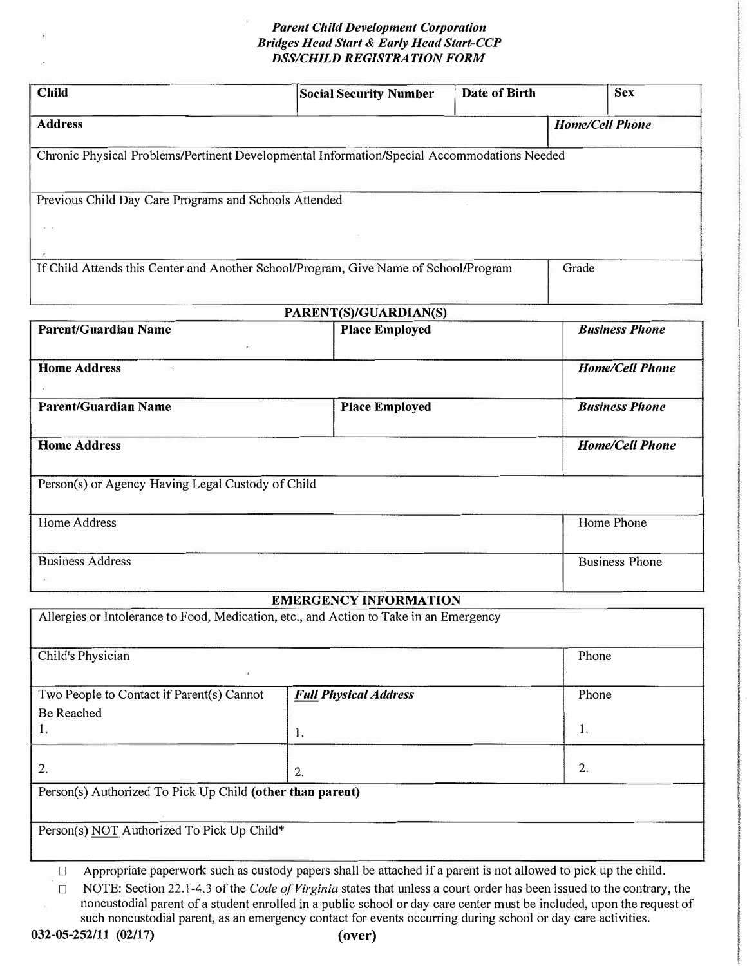# *Parent Child Development Corporation Bridges Head Start & Early Head Start-CCP DSS/CHILD REGISTRATION FORM*

| Child                                                                                       | <b>Social Security Number</b> | Date of Birth | <b>Sex</b>             |
|---------------------------------------------------------------------------------------------|-------------------------------|---------------|------------------------|
| <b>Address</b>                                                                              |                               |               | <b>Home/Cell Phone</b> |
| Chronic Physical Problems/Pertinent Developmental Information/Special Accommodations Needed |                               |               |                        |
|                                                                                             |                               |               |                        |
| Previous Child Day Care Programs and Schools Attended                                       |                               |               |                        |
| $\mathbf{x}=\mathbf{x}$ :                                                                   |                               |               |                        |
| If Child Attends this Center and Another School/Program, Give Name of School/Program        |                               |               | Grade                  |
|                                                                                             |                               |               |                        |

| PARENT(S)/GUARDIAN(S)                             |                       |                        |  |  |
|---------------------------------------------------|-----------------------|------------------------|--|--|
| <b>Parent/Guardian Name</b>                       | <b>Place Employed</b> | <b>Business Phone</b>  |  |  |
| <b>Home Address</b><br>$\bar{\phantom{a}}$        |                       | <b>Home/Cell Phone</b> |  |  |
| <b>Parent/Guardian Name</b>                       | <b>Place Employed</b> | <b>Business Phone</b>  |  |  |
| <b>Home Address</b>                               |                       | <b>Home/Cell Phone</b> |  |  |
| Person(s) or Agency Having Legal Custody of Child |                       |                        |  |  |
| Home Address                                      |                       | Home Phone             |  |  |
| <b>Business Address</b>                           |                       | <b>Business Phone</b>  |  |  |
|                                                   |                       |                        |  |  |

### **EMERGENCY INFORMATION**

| Allergies or Intolerance to Food, Medication, etc., and Action to Take in an Emergency |                              |       |  |  |  |
|----------------------------------------------------------------------------------------|------------------------------|-------|--|--|--|
| Child's Physician                                                                      |                              | Phone |  |  |  |
| Two People to Contact if Parent(s) Cannot                                              | <b>Full Physical Address</b> | Phone |  |  |  |
| Be Reached                                                                             |                              |       |  |  |  |
| 1.                                                                                     | 1.                           | 1.    |  |  |  |
| 2.                                                                                     | 2.                           | 2.    |  |  |  |
| Person(s) Authorized To Pick Up Child (other than parent)                              |                              |       |  |  |  |
| Person(s) NOT Authorized To Pick Up Child*                                             |                              |       |  |  |  |

□ Appropriate paperwork such as custody papers shall be attached if a parent is not allowed to pick up the child.

□ NOTE: Section 22.1-4.3 of the *Code of Virginia* states that unless a court order has been issued to the contrary, the noncustodial parent of a student enrolled in a public school or day care center must be included, upon the request of such noncustodial parent, as an emergency contact for events occurring during school or day care activities.